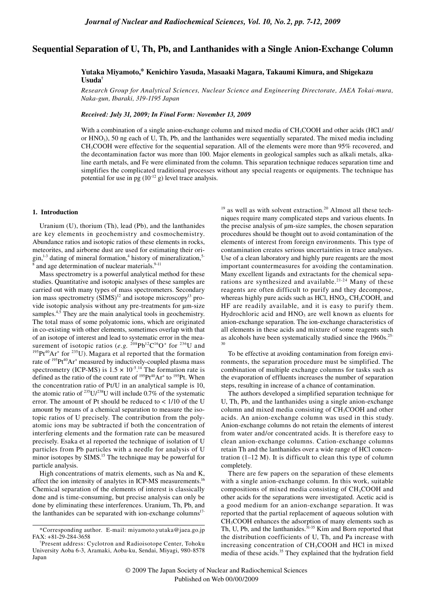# **Sequential Separation of U, Th, Pb, and Lanthanides with a Single Anion-Exchange Column**

## **Yutaka Miyamoto,\* Kenichiro Yasuda, Masaaki Magara, Takaumi Kimura, and Shigekazu Usuda†**

*Research Group for Analytical Sciences, Nuclear Science and Engineering Directorate, JAEA Tokai-mura, Naka-gun, Ibaraki, 319-1195 Japan*

*Received: July 31, 2009; In Final Form: November 13, 2009*

With a combination of a single anion-exchange column and mixed media of CH<sub>3</sub>COOH and other acids (HCl and/ or HNO3), 50 ng each of U, Th, Pb, and the lanthanides were sequentially separated. The mixed media including CH3COOH were effective for the sequential separation. All of the elements were more than 95% recovered, and the decontamination factor was more than 100. Major elements in geological samples such as alkali metals, alkaline earth metals, and Fe were eliminated from the column. This separation technique reduces separation time and simplifies the complicated traditional processes without any special reagents or equipments. The technique has potential for use in pg  $(10^{-12} \text{ g})$  level trace analysis.

## **1. Introduction**

Uranium (U), thorium (Th), lead (Pb), and the lanthanides are key elements in geochemistry and cosmochemistry. Abundance ratios and isotopic ratios of these elements in rocks, meteorites, and airborne dust are used for estimating their ori- $\sin^{1-3}$  dating of mineral formation,<sup>4</sup> history of mineralization,<sup>5-</sup> 8 and age determination of nuclear materials.<sup>9-11</sup>

Mass spectrometry is a powerful analytical method for these studies. Quantitative and isotopic analyses of these samples are carried out with many types of mass spectrometers. Secondary ion mass spectrometry (SIMS)<sup>12</sup> and isotope microscopy<sup>13</sup> provide isotopic analysis without any pre-treatments for µm-size samples.<sup>4,5</sup> They are the main analytical tools in geochemistry. The total mass of some polyatomic ions, which are originated in co-existing with other elements, sometimes overlap with that of an isotope of interest and lead to systematic error in the measurement of isotopic ratios (*e.g.* <sup>208</sup>Pb<sup>12</sup>C<sup>16</sup>O<sup>+</sup> for <sup>236</sup>U and <sup>195</sup>Pt<sup>40</sup>Ar<sup>+</sup> for <sup>235</sup>U). Magara et al reported that the formation  $^{195}Pt^{40}Ar^{+}$  for  $^{235}U$ ). Magara et al reported that the formation rate of <sup>195</sup>Pt<sup>40</sup>Ar<sup>+</sup> measured by inductively-coupled plasma mass spectrometry (ICP-MS) is  $1.5 \times 10^{-5}$ .<sup>14</sup> The formation rate is defined as the ratio of the count rate of  $^{195}Pt^{40}Ar^{+}$  to  $^{195}Pt$ . When the concentration ratio of Pt/U in an analytical sample is 10, the atomic ratio of  $^{235}U/^{238}U$  will include 0.7% of the systematic error. The amount of Pt should be reduced to < 1/10 of the U amount by means of a chemical separation to measure the isotopic ratios of U precisely. The contribution from the polyatomic ions may be subtracted if both the concentration of interfering elements and the formation rate can be measured precisely. Esaka et al reported the technique of isolation of U particles from Pb particles with a needle for analysis of U minor isotopes by SIMS.<sup>15</sup> The technique may be powerful for particle analysis.

High concentrations of matrix elements, such as Na and K, affect the ion intensity of analytes in ICP-MS measurements.16 Chemical separation of the elements of interest is classically done and is time-consuming, but precise analysis can only be done by eliminating these interferences. Uranium, Th, Pb, and the lanthanides can be separated with ion-exchange columns $17-$ 

 $19$  as well as with solvent extraction.<sup>20</sup> Almost all these techniques require many complicated steps and various eluents. In the precise analysis of µm-size samples, the chosen separation procedures should be thought out to avoid contamination of the elements of interest from foreign environments. This type of contamination creates serious uncertainties in trace analyses. Use of a clean laboratory and highly pure reagents are the most important countermeasures for avoiding the contamination. Many excellent ligands and extractants for the chemical separations are synthesized and available.<sup>21-24</sup> Many of these reagents are often difficult to purify and they decompose, whereas highly pure acids such as HCl,  $HNO<sub>3</sub>, CH<sub>3</sub>COOH$ , and HF are readily available, and it is easy to purify them. Hydrochloric acid and  $HNO<sub>3</sub>$  are well known as eluents for anion-exchange separation. The ion-exchange characteristics of all elements in these acids and mixture of some reagents such as alcohols have been systematically studied since the 1960s.25- 30

To be effective at avoiding contamination from foreign environments, the separation procedure must be simplified. The combination of multiple exchange columns for tasks such as the evaporation of effluents increases the number of separation steps, resulting in increase of a chance of contamination.

The authors developed a simplified separation technique for U, Th, Pb, and the lanthanides using a single anion-exchange column and mixed media consisting of CH<sub>3</sub>COOH and other acids. An anion-exchange column was used in this study. Anion-exchange columns do not retain the elements of interest from water and/or concentrated acids. It is therefore easy to clean anion-exchange columns. Cation-exchange columns retain Th and the lanthanides over a wide range of HCl concentration (1–12 M). It is difficult to clean this type of column completely.

There are few papers on the separation of these elements with a single anion-exchange column. In this work, suitable compositions of mixed media consisting of  $CH<sub>3</sub>COOH$  and other acids for the separations were investigated. Acetic acid is a good medium for an anion-exchange separation. It was reported that the partial replacement of aqueous solution with CH3COOH enhances the adsorption of many elements such as Th, U, Pb, and the lanthanides.  $31-35$  Kim and Born reported that the distribution coefficients of U, Th, and Pa increase with increasing concentration of CH<sub>3</sub>COOH and HCl in mixed media of these acids.<sup>35</sup> They explained that the hydration field

<sup>\*</sup>Corresponding author. E-mail: miyamoto.yutaka@jaea.go.jp FAX: +81-29-284-3658

<sup>†</sup> Present address: Cyclotron and Radioisotope Center, Tohoku University Aoba 6-3, Aramaki, Aoba-ku, Sendai, Miyagi, 980-8578 Japan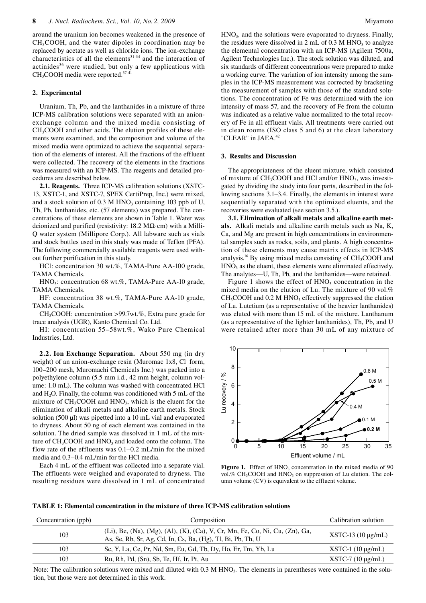around the uranium ion becomes weakened in the presence of CH3COOH, and the water dipoles in coordination may be replaced by acetate as well as chloride ions. The ion-exchange characteristics of all the elements $31-34$  and the interaction of actinides<sup>36</sup> were studied, but only a few applications with CH3COOH media were reported.37-41

## **2. Experimental**

Uranium, Th, Pb, and the lanthanides in a mixture of three ICP-MS calibration solutions were separated with an anionexchange column and the mixed media consisting of CH3COOH and other acids. The elution profiles of these elements were examined, and the composition and volume of the mixed media were optimized to achieve the sequential separation of the elements of interest. All the fractions of the effluent were collected. The recovery of the elements in the fractions was measured with an ICP-MS. The reagents and detailed procedures are described below.

**2.1. Reagents.** Three ICP-MS calibration solutions (XSTC-13, XSTC-1, and XSTC-7, SPEX CertiPrep, Inc.) were mixed, and a stock solution of  $0.3$  M HNO<sub>3</sub> containing 103 ppb of U, Th, Pb, lanthanides, etc. (57 elements) was prepared. The concentrations of these elements are shown in Table 1. Water was deionized and purified (resistivity: 18.2 MΩ·cm) with a Milli-Q water system (Millipore Corp.). All labware such as vials and stock bottles used in this study was made of Teflon (PFA). The following commercially available reagents were used without further purification in this study.

HCl: concentration 30 wt.%, TAMA-Pure AA-100 grade, TAMA Chemicals.

HNO<sub>3</sub>: concentration 68 wt.%, TAMA-Pure AA-10 grade, TAMA Chemicals.

HF: concentration 38 wt.%, TAMA-Pure AA-10 grade, TAMA Chemicals.

CH3COOH: concentration >99.7wt.%, Extra pure grade for trace analysis (UGR), Kanto Chemical Co. Ltd.

HI: concentration 55–58wt.%, Wako Pure Chemical Industries, Ltd.

**2.2. Ion Exchange Separation.** About 550 mg (in dry weight) of an anion-exchange resin (Muromac 1x8, Cl form, 100–200 mesh, Muromachi Chemicals Inc.) was packed into a polyethylene column (5.5 mm i.d., 42 mm height, column volume: 1.0 mL). The column was washed with concentrated HCl and  $H_2O$ . Finally, the column was conditioned with 5 mL of the mixture of  $CH<sub>3</sub>COOH$  and  $HNO<sub>3</sub>$ , which is the eluent for the elimination of alkali metals and alkaline earth metals. Stock solution (500 µl) was pipetted into a 10 mL vial and evaporated to dryness. About 50 ng of each element was contained in the solution. The dried sample was dissolved in 1 mL of the mixture of  $CH<sub>3</sub>COOH$  and  $HNO<sub>3</sub>$  and loaded onto the column. The flow rate of the effluents was 0.1–0.2 mL/min for the mixed media and 0.3–0.4 mL/min for the HCl media.

Each 4 mL of the effluent was collected into a separate vial. The effluents were weighed and evaporated to dryness. The resulting residues were dissolved in 1 mL of concentrated HNO3, and the solutions were evaporated to dryness. Finally, the residues were dissolved in 2 mL of  $0.3$  M HNO<sub>3</sub> to analyze the elemental concentration with an ICP-MS (Agilent 7500a, Agilent Technologies Inc.). The stock solution was diluted, and six standards of different concentrations were prepared to make a working curve. The variation of ion intensity among the samples in the ICP-MS measurement was corrected by bracketing the measurement of samples with those of the standard solutions. The concentration of Fe was determined with the ion intensity of mass 57, and the recovery of Fe from the column was indicated as a relative value normalized to the total recovery of Fe in all effluent vials. All treatments were carried out in clean rooms (ISO class 5 and 6) at the clean laboratory "CLEAR" in JAEA.<sup>42</sup>

#### **3. Results and Discussion**

The appropriateness of the eluent mixture, which consisted of mixture of  $CH_3COOH$  and HCl and/or  $HNO_3$ , was investigated by dividing the study into four parts, described in the following sections 3.1–3.4. Finally, the elements in interest were sequentially separated with the optimized eluents, and the recoveries were evaluated (see section 3.5.).

**3.1. Elimination of alkali metals and alkaline earth metals.** Alkali metals and alkaline earth metals such as Na, K, Ca, and Mg are present in high concentrations in environmental samples such as rocks, soils, and plants. A high concentration of these elements may cause matrix effects in ICP-MS analysis.<sup>16</sup> By using mixed media consisting of  $CH<sub>3</sub>COOH$  and  $HNO<sub>3</sub>$  as the eluent, these elements were eliminated effectively. The analytes—U, Th, Pb, and the lanthanides—were retained.

Figure 1 shows the effect of  $HNO<sub>3</sub>$  concentration in the mixed media on the elution of Lu. The mixture of 90 vol.%  $CH<sub>3</sub>COOH$  and 0.2 M HNO<sub>3</sub> effectively suppressed the elution of Lu. Lutetium (as a representative of the heavier lanthanides) was eluted with more than 15 mL of the mixture. Lanthanum (as a representative of the lighter lanthanides), Th, Pb, and U were retained after more than 30 mL of any mixture of



Figure 1. Effect of HNO<sub>3</sub> concentration in the mixed media of 90 vol.%  $CH<sub>3</sub>COOH$  and  $HNO<sub>3</sub>$  on suppression of Lu elution. The column volume (CV) is equivalent to the effluent volume.

**TABLE 1: Elemental concentration in the mixture of three ICP-MS calibration solutions** 

| Concentration (ppb) | Composition                                                                                                                                |                          |  |
|---------------------|--------------------------------------------------------------------------------------------------------------------------------------------|--------------------------|--|
| 103                 | (Li), Be, (Na), (Mg), (Al), (K), (Ca), V, Cr, Mn, Fe, Co, Ni, Cu, (Zn), Ga,<br>As, Se, Rb, Sr, Ag, Cd, In, Cs, Ba, (Hg), Tl, Bi, Pb, Th, U | $XSTC-13(10 \mu g/mL)$   |  |
| 103                 | Sc, Y, La, Ce, Pr, Nd, Sm, Eu, Gd, Tb, Dy, Ho, Er, Tm, Yb, Lu                                                                              | $XSTC-1$ (10 $\mu$ g/mL) |  |
| 103                 | Ru, Rh, Pd, (Sn), Sb, Te, Hf, Ir, Pt, Au                                                                                                   | $XSTC-7$ (10 $\mu$ g/mL) |  |
|                     |                                                                                                                                            |                          |  |

Note: The calibration solutions were mixed and diluted with 0.3 M HNO<sub>3</sub>. The elements in parentheses were contained in the solution, but those were not determined in this work.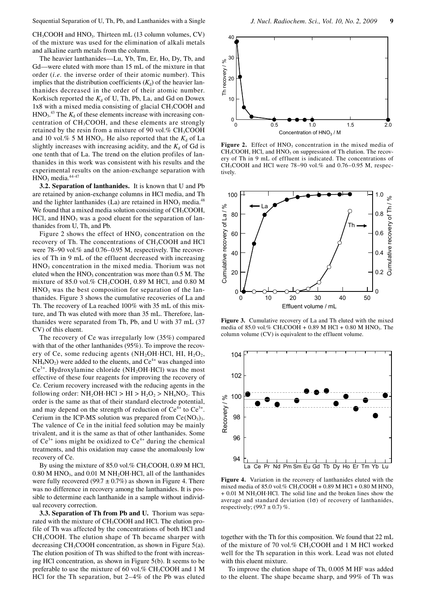CH3COOH and HNO3. Thirteen mL (13 column volumes, CV) of the mixture was used for the elimination of alkali metals and alkaline earth metals from the column.

The heavier lanthanides—Lu, Yb, Tm, Er, Ho, Dy, Tb, and Gd—were eluted with more than 15 mL of the mixture in that order (*i.e.* the inverse order of their atomic number). This implies that the distribution coefficients  $(K_d)$  of the heavier lanthanides decreased in the order of their atomic number. Korkisch reported the  $K_d$  of U, Th, Pb, La, and Gd on Dowex 1x8 with a mixed media consisting of glacial CH<sub>3</sub>COOH and  $HNO<sub>3</sub>$ <sup>43</sup> The  $K<sub>d</sub>$  of these elements increase with increasing concentration of CH<sub>3</sub>COOH, and these elements are strongly retained by the resin from a mixture of 90 vol.%  $CH_3COOH$ and 10 vol.% 5 M HNO<sub>3</sub>. He also reported that the  $K_d$  of La slightly increases with increasing acidity, and the  $K_d$  of Gd is one tenth that of La. The trend on the elution profiles of lanthanides in this work was consistent with his results and the experimental results on the anion-exchange separation with  $HNO<sub>3</sub>$  media.<sup>44-47</sup>

**3.2. Separation of lanthanides.** It is known that U and Pb are retained by anion-exchange columns in HCl media, and Th and the lighter lanthanides (La) are retained in  $HNO<sub>3</sub>$  media.<sup>48</sup> We found that a mixed media solution consisting of  $CH<sub>3</sub>COOH$ ,  $HCl$ , and  $HNO<sub>3</sub>$  was a good eluent for the separation of lanthanides from U, Th, and Pb.

Figure 2 shows the effect of  $HNO<sub>3</sub>$  concentration on the recovery of Th. The concentrations of CH<sub>3</sub>COOH and HCl were 78–90 vol.% and 0.76–0.95 M, respectively. The recoveries of Th in 9 mL of the effluent decreased with increasing  $HNO<sub>3</sub>$  concentration in the mixed media. Thorium was not eluted when the  $HNO<sub>3</sub>$  concentration was more than  $0.5$  M. The mixture of 85.0 vol.% CH<sub>3</sub>COOH, 0.89 M HCl, and 0.80 M  $HNO<sub>3</sub>$  was the best composition for separation of the lanthanides. Figure 3 shows the cumulative recoveries of La and Th. The recovery of La reached 100% with 35 mL of this mixture, and Th was eluted with more than 35 mL. Therefore, lanthanides were separated from Th, Pb, and U with 37 mL (37 CV) of this eluent.

The recovery of Ce was irregularly low (35%) compared with that of the other lanthanides (95%). To improve the recovery of Ce, some reducing agents  $(NH<sub>2</sub>OH·HCl, HI, H<sub>2</sub>O<sub>2</sub>$ ,  $NH<sub>4</sub>NO<sub>2</sub>$ ) were added to the eluents, and  $Ce<sup>4+</sup>$  was changed into  $Ce^{3+}$ . Hydroxylamine chloride (NH<sub>2</sub>OH·HCl) was the most effective of these four reagents for improving the recovery of Ce. Cerium recovery increased with the reducing agents in the following order:  $NH<sub>2</sub>OH·HCl > HI > H<sub>2</sub>O<sub>2</sub> > NH<sub>4</sub>NO<sub>2</sub>$ . This order is the same as that of their standard electrode potential, and may depend on the strength of reduction of  $Ce^{4+}$  to  $Ce^{3+}$ . Cerium in the ICP-MS solution was prepared from  $Ce(NO<sub>3</sub>)<sub>3</sub>$ . The valence of Ce in the initial feed solution may be mainly trivalent, and it is the same as that of other lanthanides. Some of  $Ce^{3+}$  ions might be oxidized to  $Ce^{4+}$  during the chemical treatments, and this oxidation may cause the anomalously low recovery of Ce.

By using the mixture of  $85.0$  vol.% CH<sub>3</sub>COOH, 0.89 M HCl,  $0.80$  M HNO<sub>3</sub>, and  $0.01$  M NH<sub>2</sub>OH·HCl, all of the lanthanides were fully recovered (99.7  $\pm$  0.7%) as shown in Figure 4. There was no difference in recovery among the lanthanides. It is possible to determine each lanthanide in a sample without individual recovery correction.

**3.3. Separation of Th from Pb and U.** Thorium was separated with the mixture of CH<sub>3</sub>COOH and HCl. The elution profile of Th was affected by the concentrations of both HCl and CH3COOH. The elution shape of Th became sharper with decreasing CH<sub>3</sub>COOH concentration, as shown in Figure 5(a). The elution position of Th was shifted to the front with increasing HCl concentration, as shown in Figure 5(b). It seems to be preferable to use the mixture of 60 vol.%  $CH_3COOH$  and 1 M HCl for the Th separation, but 2–4% of the Pb was eluted



**Figure 2.** Effect of HNO<sub>2</sub> concentration in the mixed media of CH<sub>3</sub>COOH, HCl, and HNO<sub>3</sub> on suppression of Th elution. The recovery of Th in 9 mL of effluent is indicated. The concentrations of CH<sub>3</sub>COOH and HCl were 78–90 vol.% and 0.76–0.95 M, respectively.



**Figure 3.** Cumulative recovery of La and Th eluted with the mixed media of 85.0 vol.% CH<sub>3</sub>COOH + 0.89 M HCl + 0.80 M HNO<sub>3</sub>. The column volume (CV) is equivalent to the effluent volume.



**Figure 4.** Variation in the recovery of lanthanides eluted with the mixed media of 85.0 vol.% CH<sub>3</sub>COOH + 0.89 M HCl + 0.80 M HNO<sub>3</sub> + 0.01 M NH2OH·HCl. The solid line and the broken lines show the average and standard deviation  $(1\sigma)$  of recovery of lanthanides, respectively;  $(99.7 \pm 0.7)$  %.

together with the Th for this composition. We found that 22 mL of the mixture of 70 vol.% CH3COOH and 1 M HCl worked well for the Th separation in this work. Lead was not eluted with this eluent mixture.

To improve the elution shape of Th, 0.005 M HF was added to the eluent. The shape became sharp, and 99% of Th was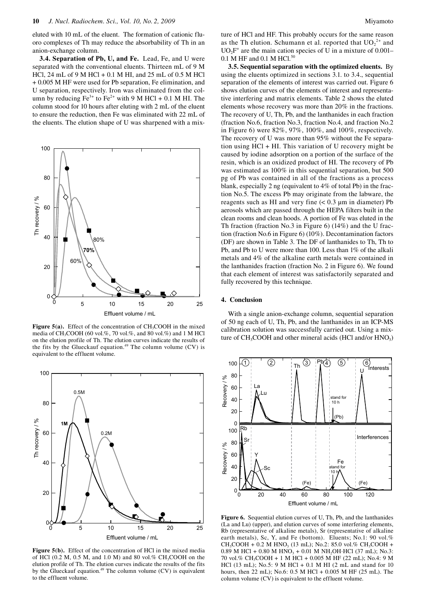eluted with 10 mL of the eluent. The formation of cationic fluoro complexes of Th may reduce the absorbability of Th in an anion-exchange column.

**3.4. Separation of Pb, U, and Fe.** Lead, Fe, and U were separated with the conventional eluents. Thirteen mL of 9 M HCl, 24 mL of 9 M HCl + 0.1 M HI, and 25 mL of 0.5 M HCl + 0.005 M HF were used for Pb separation, Fe elimination, and U separation, respectively. Iron was eliminated from the column by reducing  $Fe^{3+}$  to  $Fe^{2+}$  with 9 M HCl + 0.1 M HI. The column stood for 10 hours after eluting with 2 mL of the eluent to ensure the reduction, then Fe was eliminated with 22 mL of the eluents. The elution shape of U was sharpened with a mix-



**Figure 5(a).** Effect of the concentration of CH<sub>3</sub>COOH in the mixed media of CH<sub>3</sub>COOH (60 vol.%, 70 vol.%, and 80 vol.%) and 1 M HCl on the elution profile of Th. The elution curves indicate the results of the fits by the Glueckauf equation.<sup>49</sup> The column volume (CV) is equivalent to the effluent volume.



Figure 5(b). Effect of the concentration of HCl in the mixed media of HCl (0.2 M, 0.5 M, and 1.0 M) and 80 vol.%  $CH<sub>3</sub>COOH$  on the elution profile of Th. The elution curves indicate the results of the fits by the Glueckauf equation.<sup>49</sup> The column volume  $(CV)$  is equivalent to the effluent volume.

ture of HCl and HF. This probably occurs for the same reason as the Th elution. Schumann et al. reported that  $UO_2^{2+}$  and  $UO<sub>2</sub>F<sup>+</sup>$  are the main cation species of U in a mixture of 0.001– 0.1 M HF and 0.1 M HCl.<sup>50</sup>

**3.5. Sequential separation with the optimized eluents.** By using the eluents optimized in sections 3.1. to 3.4., sequential separation of the elements of interest was carried out. Figure 6 shows elution curves of the elements of interest and representative interfering and matrix elements. Table 2 shows the eluted elements whose recovery was more than 20% in the fractions. The recovery of U, Th, Pb, and the lanthanides in each fraction (fraction No.6, fraction No.3, fraction No.4, and fraction No.2 in Figure 6) were 82%, 97%, 100%, and 100%, respectively. The recovery of U was more than 95% without the Fe separation using HCl + HI. This variation of U recovery might be caused by iodine adsorption on a portion of the surface of the resin, which is an oxidized product of HI. The recovery of Pb was estimated as 100% in this sequential separation, but 500 pg of Pb was contained in all of the fractions as a process blank, especially 2 ng (equivalent to 4% of total Pb) in the fraction No.5. The excess Pb may originate from the labware, the reagents such as HI and very fine  $(< 0.3 \mu m)$  in diameter) Pb aerosols which are passed through the HEPA filters built in the clean rooms and clean hoods. A portion of Fe was eluted in the Th fraction (fraction No.3 in Figure 6) (14%) and the U fraction (fraction No.6 in Figure 6) (10%). Decontamination factors (DF) are shown in Table 3. The DF of lanthanides to Th, Th to Pb, and Pb to U were more than 100. Less than 1% of the alkali metals and 4% of the alkaline earth metals were contained in the lanthanides fraction (fraction No. 2 in Figure 6). We found that each element of interest was satisfactorily separated and fully recovered by this technique.

#### **4. Conclusion**

With a single anion-exchange column, sequential separation of 50 ng each of U, Th, Pb, and the lanthanides in an ICP-MS calibration solution was successfully carried out. Using a mixture of  $CH_3COOH$  and other mineral acids (HCl and/or  $HNO<sub>3</sub>$ )



**Figure 6.** Sequential elution curves of U, Th, Pb, and the lanthanides (La and Lu) (upper), and elution curves of some interfering elements, Rb (representative of alkaline metals), Sr (representative of alkaline earth metals), Sc, Y, and Fe (bottom). Eluents; No.1: 90 vol.%  $CH_3COOH + 0.2 M HNO_3 (13 mL)$ ; No.2: 85.0 vol.% CH<sub>3</sub>COOH + 0.89 M HCl + 0.80 M HNO<sub>3</sub> + 0.01 M NH<sub>2</sub>OH·HCl (37 mL); No.3: 70 vol.% CH3COOH + 1 M HCl + 0.005 M HF (22 mL); No.4: 9 M HCl (13 mL); No.5: 9 M HCl + 0.1 M HI (2 mL and stand for 10 hours, then 22 mL); No.6: 0.5 M HCl + 0.005 M HF (25 mL). The column volume (CV) is equivalent to the effluent volume.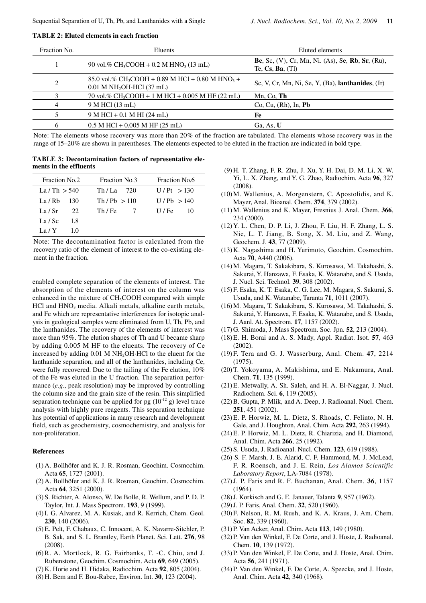| Fraction No.   | Eluents                                                                                                             | Eluted elements                                                                                       |
|----------------|---------------------------------------------------------------------------------------------------------------------|-------------------------------------------------------------------------------------------------------|
|                | 90 vol.% CH <sub>3</sub> COOH + 0.2 M HNO <sub>3</sub> (13 mL)                                                      | <b>Be</b> , Sc, $(V)$ , Cr, Mn, Ni. $(As)$ , Se, <b>Rb</b> , Sr, $(Ru)$ ,<br>Te, $Cs$ , $Ba$ , $(Tl)$ |
| $\overline{2}$ | 85.0 vol.% CH <sub>3</sub> COOH + 0.89 M HCl + 0.80 M HNO <sub>3</sub> +<br>$0.01$ M NH <sub>2</sub> OH·HCl (37 mL) | Sc, V, Cr, Mn, Ni, Se, Y, (Ba), lanthanides, (Ir)                                                     |
|                | 70 vol.% CH <sub>3</sub> COOH + 1 M HCl + 0.005 M HF (22 mL)                                                        | Mn, Co, Th                                                                                            |
| 4              | 9 M HCl (13 mL)                                                                                                     | Co, Cu, (Rh), In, Pb                                                                                  |
|                | $9 M HCl + 0.1 M HI (24 mL)$                                                                                        | Fe                                                                                                    |
| 6              | $0.5$ M HCl + 0.005 M HF (25 mL)                                                                                    | Ga, As, U                                                                                             |

**TABLE 2: Eluted elements in each fraction** 

Note: The elements whose recovery was more than 20% of the fraction are tabulated. The elements whose recovery was in the range of 15–20% are shown in parentheses. The elements expected to be eluted in the fraction are indicated in bold type.

**TABLE 3: Decontamination factors of representative elements in the effluents**

| <b>Fraction No.2</b> |      | <b>Fraction No.3</b> |  | <b>Fraction No.6</b> |    |
|----------------------|------|----------------------|--|----------------------|----|
| La/Th $>$ 540        |      | $Th/La$ 720          |  | U/Pt > 130           |    |
| La / Rh              | -130 | Th / Ph > 110        |  | U/Pb > 140           |    |
| La / Sr              | -22. | Th / Fe              |  | $U$ / Fe             | 10 |
| La / Sc              | 1.8  |                      |  |                      |    |
| La / Y               | 10   |                      |  |                      |    |

Note: The decontamination factor is calculated from the recovery ratio of the element of interest to the co-existing element in the fraction.

enabled complete separation of the elements of interest. The absorption of the elements of interest on the column was enhanced in the mixture of  $CH<sub>3</sub>COOH$  compared with simple HCl and HNO<sub>3</sub> media. Alkali metals, alkaline earth metals, and Fe which are representative interferences for isotopic analysis in geological samples were eliminated from U, Th, Pb, and the lanthanides. The recovery of the elements of interest was more than 95%. The elution shapes of Th and U became sharp by adding 0.005 M HF to the eluents. The recovery of Ce increased by adding 0.01 M NH<sub>2</sub>OH·HCl to the eluent for the lanthanide separation, and all of the lanthanides, including Ce, were fully recovered. Due to the tailing of the Fe elution, 10% of the Fe was eluted in the U fraction. The separation performance (*e.g.*, peak resolution) may be improved by controlling the column size and the grain size of the resin. This simplified separation technique can be applied for pg  $(10^{-12} \text{ g})$  level trace analysis with highly pure reagents. This separation technique has potential of applications in many research and development field, such as geochemistry, cosmochemistry, and analysis for non-proliferation.

### **References**

- (1) A. Bollhöfer and K. J. R. Rosman, Geochim. Cosmochim. Acta **65**, 1727 (2001).
- (2) A. Bollhöfer and K. J. R. Rosman, Geochim. Cosmochim. Acta **64**, 3251 (2000).
- (3) S. Richter, A. Alonso, W. De Bolle, R. Wellum, and P. D. P. Taylor, Int. J. Mass Spectrom. **193**, 9 (1999).
- (4) I. G. Alvarez, M. A. Kusiak, and R. Kerrich, Chem. Geol. **230**, 140 (2006).
- (5) E. Pelt, F. Chabaux, C. Innocent, A. K. Navarre-Sitchler, P. B. Sak, and S. L. Brantley, Earth Planet. Sci. Lett. **276**, 98 (2008).
- (6) R. A. Mortlock, R. G. Fairbanks, T. -C. Chiu, and J. Rubenstone, Geochim. Cosmochim. Acta **69**, 649 (2005).
- (7) K. Horie and H. Hidaka, Radiochim. Acta **92**, 805 (2004).
- (8) H. Bem and F. Bou-Rabee, Environ. Int. **30**, 123 (2004).
- (9) H. T. Zhang, F. R. Zhu, J. Xu, Y. H. Dai, D. M. Li, X. W. Yi, L. X. Zhang, and Y. G. Zhao, Radiochim. Acta **96**, 327 (2008).
- (10) M. Wallenius, A. Morgenstern, C. Apostolidis, and K. Mayer, Anal. Bioanal. Chem. **374**, 379 (2002).
- (11) M. Wallenius and K. Mayer, Fresnius J. Anal. Chem. **366**, 234 (2000).
- (12) Y. L. Chen, D. P. Li, J. Zhou, F. Liu, H. F. Zhang, L. S. Nie, L. T. Jiang, B. Song, X. M. Liu, and Z. Wang, Geochem. J. **43**, 77 (2009).
- (13) K. Nagashima and H. Yurimoto, Geochim. Cosmochim. Acta **70**, A440 (2006).
- (14) M. Magara, T. Sakakibara, S. Kurosawa, M. Takahashi, S. Sakurai, Y. Hanzawa, F. Esaka, K. Watanabe, and S. Usuda, J. Nucl. Sci. Technol. **39**, 308 (2002).
- (15) F. Esaka, K. T. Esaka, C. G. Lee, M. Magara, S. Sakurai, S. Usuda, and K. Watanabe, Taranta **71**, 1011 (2007).
- (16) M. Magara, T. Sakakibara, S. Kurosawa, M. Takahashi, S. Sakurai, Y. Hanzawa, F. Esaka, K. Watanabe, and S. Usuda, J. Aanl. At. Spectrom. **17**, 1157 (2002).
- (17) G. Shimoda, J. Mass Spectrom. Soc. Jpn. **52**, 213 (2004).
- (18) E. H. Borai and A. S. Mady, Appl. Radiat. Isot. **57**, 463 (2002).
- (19) F. Tera and G. J. Wasserburg, Anal. Chem. **47**, 2214 (1975).
- (20) T. Yokoyama, A. Makishima, and E. Nakamura, Anal. Chem. **71**, 135 (1999).
- (21) E. Metwally, A. Sh. Saleh, and H. A. El-Naggar, J. Nucl. Radiochem. Sci. **6**, 119 (2005).
- (22) B. Gupta, P. Mlik, and A. Deep, J. Radioanal. Nucl. Chem. **251**, 451 (2002).
- (23) E. P. Horwiz, M. L. Dietz, S. Rhoads, C. Felinto, N. H. Gale, and J. Houghton, Anal. Chim. Acta **292**, 263 (1994).
- (24) E. P. Horwiz, M. L. Dietz, R. Chiarizia, and H. Diamond, Anal. Chim. Acta **266**, 25 (1992).
- (25) S. Usuda, J. Radioanal. Nucl. Chem. **123**, 619 (1988).
- (26) S. F. Marsh, J. E. Alarid, C. F. Hammond, M. J. McLead, F. R. Roensch, and J. E. Rein, *Los Alamos Scientific Laboratory Report*, LA-7084 (1978).
- (27) J. P. Faris and R. F. Buchanan, Anal. Chem. **36**, 1157  $(1964)$ .
- (28) J. Korkisch and G. E. Janauer, Talanta **9**, 957 (1962).
- (29) J. P. Faris, Anal. Chem. **32**, 520 (1960).
- (30) F. Nelson, R. M. Rush, and K. A. Kraus, J. Am. Chem. Soc. **82**, 339 (1960).
- (31) P. Van Acker, Anal. Chim. Acta **113**, 149 (1980).
- (32) P. Van den Winkel, F. De Corte, and J. Hoste, J. Radioanal. Chem. **10**, 139 (1972).
- (33) P. Van den Winkel, F. De Corte, and J. Hoste, Anal. Chim. Acta **56**, 241 (1971).
- (34) P. Van den Winkel, F. De Corte, A. Speecke, and J. Hoste, Anal. Chim. Acta **42**, 340 (1968).